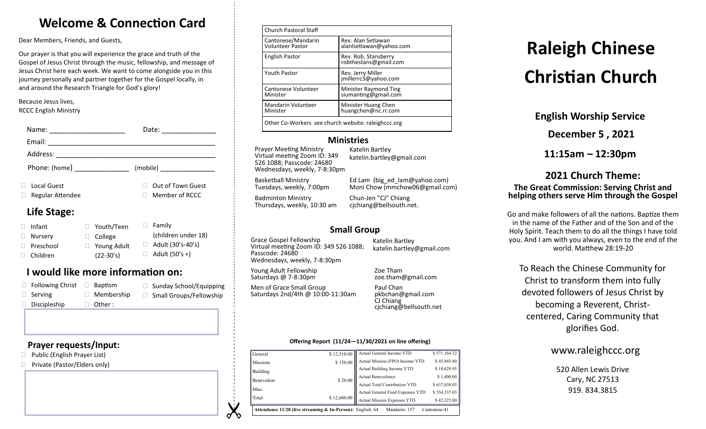## **Welcome & Connection Card**

Dear Members, Friends, and Guests,

Our prayer is that you will experience the grace and truth of the Gospel of Jesus Christ through the music, fellowship, and message of Jesus Christ here each week. We want to come alongside you in this journey personally and partner together for the Gospel locally, in and around the Research Triangle for God's glory!

Because Jesus lives, RCCC English Ministry

| Name:<br><u> 1980 - Jan James Barnett, fransk politik (d. 1980)</u> | Date:<br><u> 1986 - Jan Samuel Barbara, politik a pre</u> |
|---------------------------------------------------------------------|-----------------------------------------------------------|
|                                                                     |                                                           |
| Address: ________________________                                   |                                                           |
| Phone: (home) _______________                                       |                                                           |
| <b>Local Guest</b><br><b>Regular Attendee</b>                       | Out of Town Guest<br>Member of RCCC                       |
| Life Stage:                                                         |                                                           |

#### □ Infant □ Nurserv □ Preschool Children □ Family (children under 18)  $\Box$  Adult (30's-40's)  $\Box$  Adult (50's +) Youth/Teen College □ Young Adult (22-30's)

### **I would like more information on:**

| $\Box$ Following Christ | Baptism           | $\Box$ Sunday School/Equipping |
|-------------------------|-------------------|--------------------------------|
| $\Box$ Serving          | $\Box$ Membership | □ Small Groups/Fellowship      |
| $\Box$ Discipleship     | $\Box$ Other :    |                                |

#### **Prayer requests/Input:**

- □ Public (English Prayer List)
- □ Private (Pastor/Elders only)

| <b>Church Pastoral Staff</b>                        |                                               |  |
|-----------------------------------------------------|-----------------------------------------------|--|
| Cantonese/Mandarin<br><b>Volunteer Pastor</b>       | Rev. Alan Setiawan<br>alanlsetiawan@yahoo.com |  |
| <b>English Pastor</b>                               | Rev. Rob. Stansberry<br>robthestans@gmail.com |  |
| <b>Youth Pastor</b>                                 | Rev. Jerry Miller<br>jmillerrc3@yahoo.com     |  |
| Cantonese Volunteer<br>Minister                     | Minister Raymond Ting<br>siumanting@gmail.com |  |
| <b>Mandarin Volunteer</b><br>Minister               | Minister Huang Chen<br>huangchen@nc.rr.com    |  |
| Other Co-Workers see church website: raleighccc.org |                                               |  |

#### **Ministries**

Prayer Meeting Ministry Virtual meeting Zoom ID: 349 526 1088; Passcode: 24680 Wednesdays, weekly, 7-8:30pm

Katelin Bartley katelin.bartley@gmail.com

Basketball Ministry Tuesdays, weekly, 7:00pm

Badminton Ministry Thursdays, weekly, 10:30 am

Moni Chow (mmchow06@gmail.com) Chun-Jen "CJ" Chiang cjchiang@bellsouth.net.

Ed Lam (big\_ed\_lam@yahoo.com)

### **Small Group**

Grace Gospel Fellowship Virtual meeting Zoom ID: 349 526 1088; Passcode: 24680 Wednesdays, weekly, 7-8:30pm

katelin.bartley@gmail.com

Katelin Bartley

Young Adult Fellowship Saturdays @ 7-8:30pm

Men of Grace Small Group Saturdays 2nd/4th @ 10:00-11:30am

Zoe Tham zoe.tham@gmail.com Paul Chan

pkbchan@gmail.com CJ Chiang cjchiang@bellsouth.net

#### **Offering Report (11/24—11/30/2021 on line offering)**

| General                                                                                     | \$12,510.00 | Actual General Income YTD        |              |  |
|---------------------------------------------------------------------------------------------|-------------|----------------------------------|--------------|--|
| Missions                                                                                    | \$150.00    | Actual Mission (FPO) Income YTD  | \$45,843.80  |  |
| Building                                                                                    |             | Actual Building Income YTD       | \$18,629.93  |  |
| Benevolent                                                                                  | \$20.00     | Actual Benevolence               | \$1,400.00   |  |
|                                                                                             |             | Actual Total Contribution YTD    | \$637,038.05 |  |
| Misc.                                                                                       |             | Actual General Fund Expenses YTD | \$534,337.03 |  |
| Total                                                                                       | \$12,680.00 | Actual Mission Expenses YTD      | \$42,325.00  |  |
| Mandarin: 157<br>Attendance 11/28 (live streaming & In-Person): English: 64<br>Cantonese:41 |             |                                  |              |  |

# **Raleigh Chinese Christian Church**

**English Worship Service**

**December 5 , 2021**

**11:15am – 12:30pm**

#### **2021 Church Theme: The Great Commission: Serving Christ and helping others serve Him through the Gospel**

Go and make followers of all the nations. Baptize them in the name of the Father and of the Son and of the Holy Spirit. Teach them to do all the things I have told you. And I am with you always, even to the end of the world. Matthew 28:19-20

To Reach the Chinese Community for Christ to transform them into fully devoted followers of Jesus Christ by becoming a Reverent, Christcentered, Caring Community that glorifies God.

#### www.raleighccc.org

520 Allen Lewis Drive Cary, NC 27513 919.834.3815